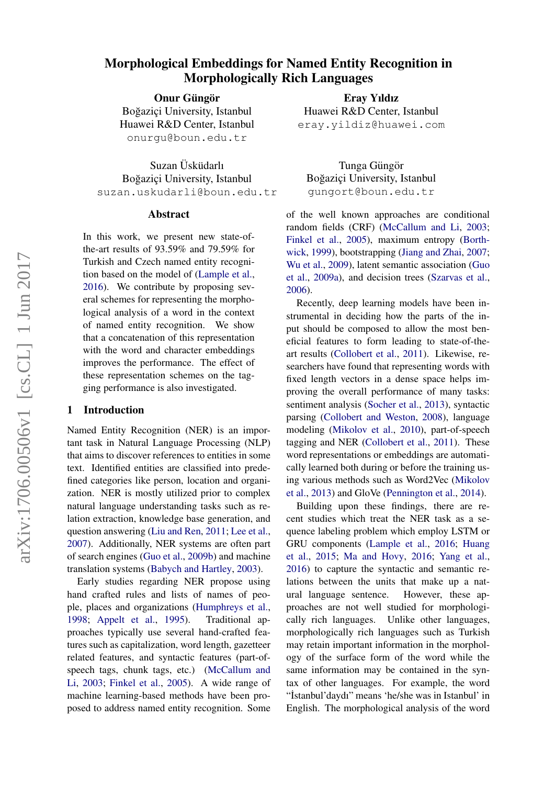# arXiv:1706.00506v1 [cs.CL] 1 Jun 2017 arXiv:1706.00506v1 [cs.CL] 1 Jun 2017

# Morphological Embeddings for Named Entity Recognition in Morphologically Rich Languages

Onur Güngör

Boğaziçi University, Istanbul Huawei R&D Center, Istanbul onurgu@boun.edu.tr

Suzan Üsküdarlı Boğaziçi University, Istanbul suzan.uskudarli@boun.edu.tr

#### Abstract

In this work, we present new state-ofthe-art results of 93.59% and 79.59% for Turkish and Czech named entity recognition based on the model of [\(Lample et al.,](#page-4-0) [2016\)](#page-4-0). We contribute by proposing several schemes for representing the morphological analysis of a word in the context of named entity recognition. We show that a concatenation of this representation with the word and character embeddings improves the performance. The effect of these representation schemes on the tagging performance is also investigated.

### 1 Introduction

Named Entity Recognition (NER) is an important task in Natural Language Processing (NLP) that aims to discover references to entities in some text. Identified entities are classified into predefined categories like person, location and organization. NER is mostly utilized prior to complex natural language understanding tasks such as relation extraction, knowledge base generation, and question answering [\(Liu and Ren,](#page-5-0) [2011;](#page-5-0) [Lee et al.,](#page-4-1) [2007\)](#page-4-1). Additionally, NER systems are often part of search engines [\(Guo et al.,](#page-4-2) [2009b\)](#page-4-2) and machine translation systems [\(Babych and Hartley,](#page-4-3) [2003\)](#page-4-3).

Early studies regarding NER propose using hand crafted rules and lists of names of people, places and organizations [\(Humphreys et al.,](#page-4-4) [1998;](#page-4-4) [Appelt et al.,](#page-4-5) [1995\)](#page-4-5). Traditional approaches typically use several hand-crafted features such as capitalization, word length, gazetteer related features, and syntactic features (part-ofspeech tags, chunk tags, etc.) [\(McCallum and](#page-5-1) [Li,](#page-5-1) [2003;](#page-5-1) [Finkel et al.,](#page-4-6) [2005\)](#page-4-6). A wide range of machine learning-based methods have been proposed to address named entity recognition. Some

Eray Yıldız Huawei R&D Center, Istanbul eray.yildiz@huawei.com

Tunga Güngör Boğaziçi University, Istanbul gungort@boun.edu.tr

of the well known approaches are conditional random fields (CRF) [\(McCallum and Li,](#page-5-1) [2003;](#page-5-1) [Finkel et al.,](#page-4-6) [2005\)](#page-4-6), maximum entropy [\(Borth](#page-4-7)[wick,](#page-4-7) [1999\)](#page-4-7), bootstrapping [\(Jiang and Zhai,](#page-4-8) [2007;](#page-4-8) [Wu et al.,](#page-5-2) [2009\)](#page-5-2), latent semantic association [\(Guo](#page-4-9) [et al.,](#page-4-9) [2009a\)](#page-4-9), and decision trees [\(Szarvas et al.,](#page-5-3) [2006\)](#page-5-3).

Recently, deep learning models have been instrumental in deciding how the parts of the input should be composed to allow the most beneficial features to form leading to state-of-theart results [\(Collobert et al.,](#page-4-10) [2011\)](#page-4-10). Likewise, researchers have found that representing words with fixed length vectors in a dense space helps improving the overall performance of many tasks: sentiment analysis [\(Socher et al.,](#page-5-4) [2013\)](#page-5-4), syntactic parsing [\(Collobert and Weston,](#page-4-11) [2008\)](#page-4-11), language modeling [\(Mikolov et al.,](#page-5-5) [2010\)](#page-5-5), part-of-speech tagging and NER [\(Collobert et al.,](#page-4-10) [2011\)](#page-4-10). These word representations or embeddings are automatically learned both during or before the training using various methods such as Word2Vec [\(Mikolov](#page-5-6) [et al.,](#page-5-6) [2013\)](#page-5-6) and GloVe [\(Pennington et al.,](#page-5-7) [2014\)](#page-5-7).

Building upon these findings, there are recent studies which treat the NER task as a sequence labeling problem which employ LSTM or GRU components [\(Lample et al.,](#page-4-0) [2016;](#page-4-0) [Huang](#page-4-12) [et al.,](#page-4-12) [2015;](#page-4-12) [Ma and Hovy,](#page-5-8) [2016;](#page-5-8) [Yang et al.,](#page-5-9) [2016\)](#page-5-9) to capture the syntactic and semantic relations between the units that make up a natural language sentence. However, these approaches are not well studied for morphologically rich languages. Unlike other languages, morphologically rich languages such as Turkish may retain important information in the morphology of the surface form of the word while the same information may be contained in the syntax of other languages. For example, the word "˙Istanbul'daydı" means 'he/she was in Istanbul' in English. The morphological analysis of the word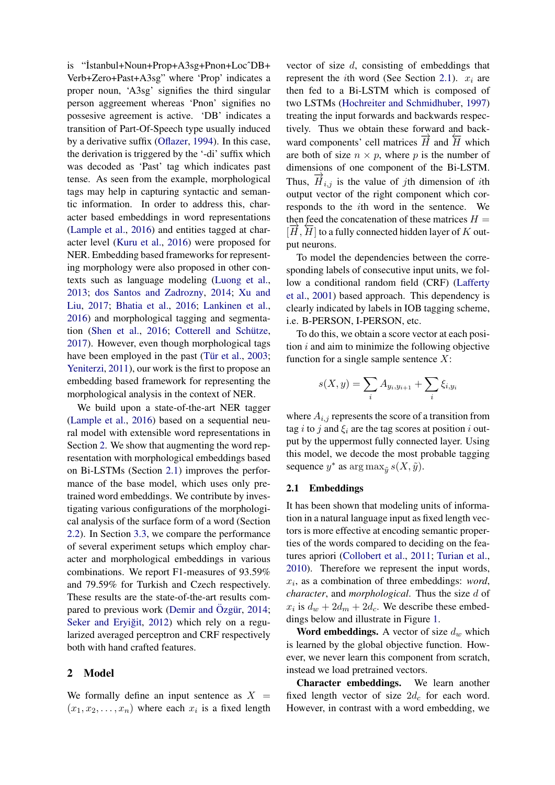is "˙Istanbul+Noun+Prop+A3sg+Pnon+LocˆDB+ Verb+Zero+Past+A3sg" where 'Prop' indicates a proper noun, 'A3sg' signifies the third singular person aggreement whereas 'Pnon' signifies no possesive agreement is active. 'DB' indicates a transition of Part-Of-Speech type usually induced by a derivative suffix [\(Oflazer,](#page-5-10) [1994\)](#page-5-10). In this case, the derivation is triggered by the '-di' suffix which was decoded as 'Past' tag which indicates past tense. As seen from the example, morphological tags may help in capturing syntactic and semantic information. In order to address this, character based embeddings in word representations [\(Lample et al.,](#page-4-0) [2016\)](#page-4-0) and entities tagged at character level [\(Kuru et al.,](#page-4-13) [2016\)](#page-4-13) were proposed for NER. Embedding based frameworks for representing morphology were also proposed in other contexts such as language modeling [\(Luong et al.,](#page-5-11) [2013;](#page-5-11) [dos Santos and Zadrozny,](#page-4-14) [2014;](#page-4-14) [Xu and](#page-5-12) [Liu,](#page-5-12) [2017;](#page-5-12) [Bhatia et al.,](#page-4-15) [2016;](#page-4-15) [Lankinen et al.,](#page-4-16) [2016\)](#page-4-16) and morphological tagging and segmenta-tion [\(Shen et al.,](#page-5-13) [2016;](#page-5-13) Cotterell and Schütze, [2017\)](#page-4-17). However, even though morphological tags have been employed in the past (Tür et al., [2003;](#page-5-14) [Yeniterzi,](#page-5-15) [2011\)](#page-5-15), our work is the first to propose an embedding based framework for representing the morphological analysis in the context of NER.

We build upon a state-of-the-art NER tagger [\(Lample et al.,](#page-4-0) [2016\)](#page-4-0) based on a sequential neural model with extensible word representations in Section [2.](#page-1-0) We show that augmenting the word representation with morphological embeddings based on Bi-LSTMs (Section [2.1\)](#page-1-1) improves the performance of the base model, which uses only pretrained word embeddings. We contribute by investigating various configurations of the morphological analysis of the surface form of a word (Section [2.2\)](#page-2-0). In Section [3.3,](#page-3-0) we compare the performance of several experiment setups which employ character and morphological embeddings in various combinations. We report F1-measures of 93.59% and 79.59% for Turkish and Czech respectively. These results are the state-of-the-art results com-pared to previous work [\(Demir and](#page-4-18) Özgür,  $2014$ ; Seker and Eryiğit, [2012\)](#page-5-16) which rely on a regularized averaged perceptron and CRF respectively both with hand crafted features.

# <span id="page-1-0"></span>2 Model

We formally define an input sentence as  $X =$  $(x_1, x_2, \ldots, x_n)$  where each  $x_i$  is a fixed length

vector of size d, consisting of embeddings that represent the *i*th word (See Section [2.1\)](#page-1-1).  $x_i$  are then fed to a Bi-LSTM which is composed of two LSTMs [\(Hochreiter and Schmidhuber,](#page-4-19) [1997\)](#page-4-19) treating the input forwards and backwards respectively. Thus we obtain these forward and backward components' cell matrices  $\vec{H}$  and  $\vec{H}$  which are both of size  $n \times p$ , where p is the number of dimensions of one component of the Bi-LSTM. Thus,  $\vec{H}_{i,j}$  is the value of jth dimension of *i*th output vector of the right component which corresponds to the ith word in the sentence. We then feed the concatenation of these matrices  $H =$  $[\vec{H}, \vec{H}]$  to a fully connected hidden layer of K output neurons.

To model the dependencies between the corresponding labels of consecutive input units, we follow a conditional random field (CRF) [\(Lafferty](#page-4-20) [et al.,](#page-4-20) [2001\)](#page-4-20) based approach. This dependency is clearly indicated by labels in IOB tagging scheme, i.e. B-PERSON, I-PERSON, etc.

To do this, we obtain a score vector at each position  $i$  and aim to minimize the following objective function for a single sample sentence  $X$ :

$$
s(X, y) = \sum_{i} A_{y_i, y_{i+1}} + \sum_{i} \xi_{i, y_i}
$$

where  $A_{i,j}$  represents the score of a transition from tag i to j and  $\xi_i$  are the tag scores at position i output by the uppermost fully connected layer. Using this model, we decode the most probable tagging sequence  $y^*$  as  $\arg \max_{\tilde{y}} s(X, \tilde{y})$ .

#### <span id="page-1-1"></span>2.1 Embeddings

It has been shown that modeling units of information in a natural language input as fixed length vectors is more effective at encoding semantic properties of the words compared to deciding on the features apriori [\(Collobert et al.,](#page-4-10) [2011;](#page-4-10) [Turian et al.,](#page-5-17) [2010\)](#page-5-17). Therefore we represent the input words,  $x_i$ , as a combination of three embeddings: *word*, *character*, and *morphological*. Thus the size d of  $x_i$  is  $d_w + 2d_m + 2d_c$ . We describe these embeddings below and illustrate in Figure [1.](#page-2-1)

**Word embeddings.** A vector of size  $d_w$  which is learned by the global objective function. However, we never learn this component from scratch, instead we load pretrained vectors.

Character embeddings. We learn another fixed length vector of size  $2d_c$  for each word. However, in contrast with a word embedding, we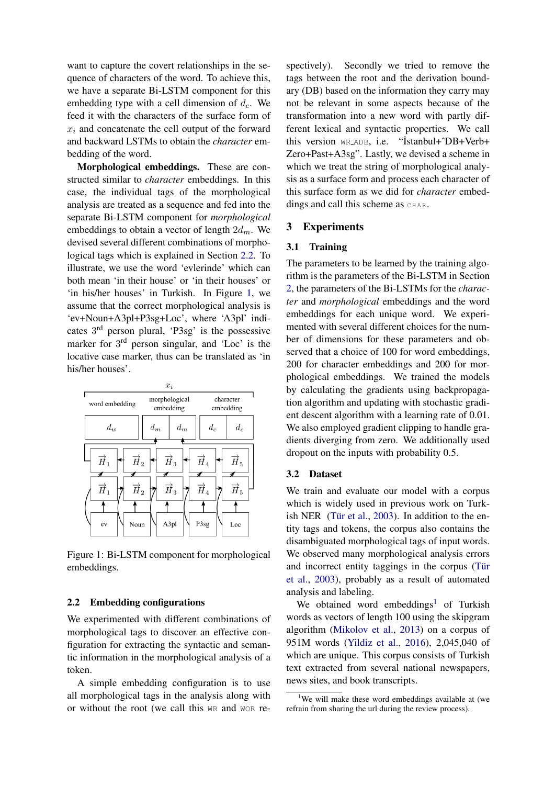want to capture the covert relationships in the sequence of characters of the word. To achieve this, we have a separate Bi-LSTM component for this embedding type with a cell dimension of  $d_c$ . We feed it with the characters of the surface form of  $x_i$  and concatenate the cell output of the forward and backward LSTMs to obtain the *character* embedding of the word.

Morphological embeddings. These are constructed similar to *character* embeddings. In this case, the individual tags of the morphological analysis are treated as a sequence and fed into the separate Bi-LSTM component for *morphological* embeddings to obtain a vector of length  $2d_m$ . We devised several different combinations of morphological tags which is explained in Section [2.2.](#page-2-0) To illustrate, we use the word 'evlerinde' which can both mean 'in their house' or 'in their houses' or 'in his/her houses' in Turkish. In Figure [1,](#page-2-1) we assume that the correct morphological analysis is 'ev+Noun+A3pl+P3sg+Loc', where 'A3pl' indicates 3<sup>rd</sup> person plural, 'P3sg' is the possessive marker for 3<sup>rd</sup> person singular, and 'Loc' is the locative case marker, thus can be translated as 'in his/her houses'.



<span id="page-2-1"></span>Figure 1: Bi-LSTM component for morphological embeddings.

# <span id="page-2-0"></span>2.2 Embedding configurations

We experimented with different combinations of morphological tags to discover an effective configuration for extracting the syntactic and semantic information in the morphological analysis of a token.

A simple embedding configuration is to use all morphological tags in the analysis along with or without the root (we call this WR and WOR re-

spectively). Secondly we tried to remove the tags between the root and the derivation boundary (DB) based on the information they carry may not be relevant in some aspects because of the transformation into a new word with partly different lexical and syntactic properties. We call this version WR ADB, i.e. "˙Istanbul+ˆDB+Verb+ Zero+Past+A3sg". Lastly, we devised a scheme in which we treat the string of morphological analysis as a surface form and process each character of this surface form as we did for *character* embeddings and call this scheme as  $CHAR$ .

### 3 Experiments

### 3.1 Training

The parameters to be learned by the training algorithm is the parameters of the Bi-LSTM in Section [2,](#page-1-0) the parameters of the Bi-LSTMs for the *character* and *morphological* embeddings and the word embeddings for each unique word. We experimented with several different choices for the number of dimensions for these parameters and observed that a choice of 100 for word embeddings, 200 for character embeddings and 200 for morphological embeddings. We trained the models by calculating the gradients using backpropagation algorithm and updating with stochastic gradient descent algorithm with a learning rate of 0.01. We also employed gradient clipping to handle gradients diverging from zero. We additionally used dropout on the inputs with probability 0.5.

# 3.2 Dataset

We train and evaluate our model with a corpus which is widely used in previous work on Turkish NER (Tür et al.,  $2003$ ). In addition to the entity tags and tokens, the corpus also contains the disambiguated morphological tags of input words. We observed many morphological analysis errors and incorrect entity taggings in the corpus (Tür [et al.,](#page-5-14) [2003\)](#page-5-14), probably as a result of automated analysis and labeling.

We obtained word embeddings<sup>[1](#page-2-2)</sup> of Turkish words as vectors of length 100 using the skipgram algorithm [\(Mikolov et al.,](#page-5-6) [2013\)](#page-5-6) on a corpus of 951M words [\(Yildiz et al.,](#page-5-18) [2016\)](#page-5-18), 2,045,040 of which are unique. This corpus consists of Turkish text extracted from several national newspapers, news sites, and book transcripts.

<span id="page-2-2"></span> $1$ We will make these word embeddings available at (we refrain from sharing the url during the review process).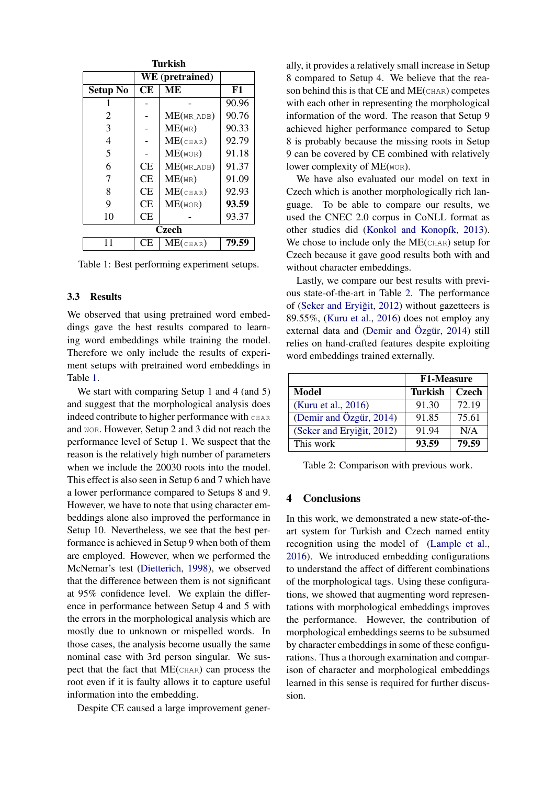| Turkish         |           |                          |       |  |
|-----------------|-----------|--------------------------|-------|--|
| WE (pretrained) |           |                          |       |  |
| <b>Setup No</b> | <b>CE</b> | MЕ                       | F1    |  |
|                 |           |                          | 90.96 |  |
| 2               |           | $ME(WR$ <sub>ADB</sub> ) | 90.76 |  |
| 3               |           | $ME$ (WR)                | 90.33 |  |
| 4               |           | $ME$ (CHAR)              | 92.79 |  |
| 5               |           | $ME($ WOR $)$            | 91.18 |  |
| 6               | CE        | ME(WRADB)                | 91.37 |  |
| 7               | CE        | $ME$ (WR)                | 91.09 |  |
| 8               | CE        | $ME$ (CHAR)              | 92.93 |  |
| 9               | CE        | $ME($ WOR $)$            | 93.59 |  |
| 10              | СE        |                          | 93.37 |  |
| Czech           |           |                          |       |  |
| 11              | СE        | $ME$ (char)              | 79.59 |  |

<span id="page-3-1"></span>Table 1: Best performing experiment setups.

# <span id="page-3-0"></span>3.3 Results

We observed that using pretrained word embeddings gave the best results compared to learning word embeddings while training the model. Therefore we only include the results of experiment setups with pretrained word embeddings in Table [1.](#page-3-1)

We start with comparing Setup 1 and 4 (and 5) and suggest that the morphological analysis does indeed contribute to higher performance with CHAR and WOR. However, Setup 2 and 3 did not reach the performance level of Setup 1. We suspect that the reason is the relatively high number of parameters when we include the 20030 roots into the model. This effect is also seen in Setup 6 and 7 which have a lower performance compared to Setups 8 and 9. However, we have to note that using character embeddings alone also improved the performance in Setup 10. Nevertheless, we see that the best performance is achieved in Setup 9 when both of them are employed. However, when we performed the McNemar's test [\(Dietterich,](#page-4-21) [1998\)](#page-4-21), we observed that the difference between them is not significant at 95% confidence level. We explain the difference in performance between Setup 4 and 5 with the errors in the morphological analysis which are mostly due to unknown or mispelled words. In those cases, the analysis become usually the same nominal case with 3rd person singular. We suspect that the fact that ME(CHAR) can process the root even if it is faulty allows it to capture useful information into the embedding.

Despite CE caused a large improvement gener-

ally, it provides a relatively small increase in Setup 8 compared to Setup 4. We believe that the reason behind this is that CE and ME(CHAR) competes with each other in representing the morphological information of the word. The reason that Setup 9 achieved higher performance compared to Setup 8 is probably because the missing roots in Setup 9 can be covered by CE combined with relatively lower complexity of ME(WOR).

We have also evaluated our model on text in Czech which is another morphologically rich language. To be able to compare our results, we used the CNEC 2.0 corpus in CoNLL format as other studies did (Konkol and Konopík, [2013\)](#page-4-22). We chose to include only the ME(CHAR) setup for Czech because it gave good results both with and without character embeddings.

Lastly, we compare our best results with previous state-of-the-art in Table [2.](#page-3-2) The performance of (Seker and Eryiğit, [2012\)](#page-5-16) without gazetteers is 89.55%, [\(Kuru et al.,](#page-4-13) [2016\)](#page-4-13) does not employ any external data and [\(Demir and](#page-4-18) Özgür, [2014\)](#page-4-18) still relies on hand-crafted features despite exploiting word embeddings trained externally.

|                           | <b>F1-Measure</b> |              |
|---------------------------|-------------------|--------------|
| Model                     | Turkish           | <b>Czech</b> |
| (Kuru et al., 2016)       | 91.30             | 72.19        |
| (Demir and Özgür, 2014)   | 91.85             | 75.61        |
| (Seker and Eryiğit, 2012) | 91.94             | N/A          |
| This work                 | 93.59             | 79.59        |

<span id="page-3-2"></span>Table 2: Comparison with previous work.

# 4 Conclusions

In this work, we demonstrated a new state-of-theart system for Turkish and Czech named entity recognition using the model of [\(Lample et al.,](#page-4-0) [2016\)](#page-4-0). We introduced embedding configurations to understand the affect of different combinations of the morphological tags. Using these configurations, we showed that augmenting word representations with morphological embeddings improves the performance. However, the contribution of morphological embeddings seems to be subsumed by character embeddings in some of these configurations. Thus a thorough examination and comparison of character and morphological embeddings learned in this sense is required for further discussion.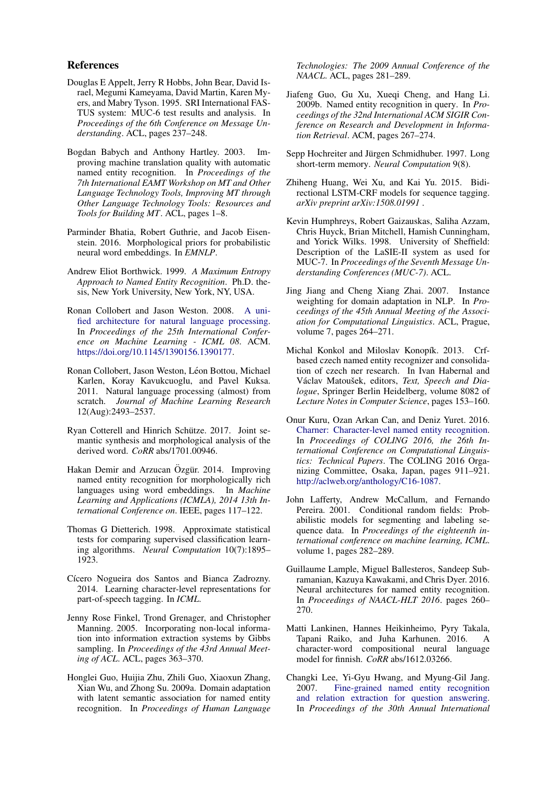#### References

- <span id="page-4-5"></span>Douglas E Appelt, Jerry R Hobbs, John Bear, David Israel, Megumi Kameyama, David Martin, Karen Myers, and Mabry Tyson. 1995. SRI International FAS-TUS system: MUC-6 test results and analysis. In *Proceedings of the 6th Conference on Message Understanding*. ACL, pages 237–248.
- <span id="page-4-3"></span>Bogdan Babych and Anthony Hartley. 2003. Improving machine translation quality with automatic named entity recognition. In *Proceedings of the 7th International EAMT Workshop on MT and Other Language Technology Tools, Improving MT through Other Language Technology Tools: Resources and Tools for Building MT*. ACL, pages 1–8.
- <span id="page-4-15"></span>Parminder Bhatia, Robert Guthrie, and Jacob Eisenstein. 2016. Morphological priors for probabilistic neural word embeddings. In *EMNLP*.
- <span id="page-4-7"></span>Andrew Eliot Borthwick. 1999. *A Maximum Entropy Approach to Named Entity Recognition*. Ph.D. thesis, New York University, New York, NY, USA.
- <span id="page-4-11"></span>Ronan Collobert and Jason Weston. 2008. [A uni](https://doi.org/10.1145/1390156.1390177)[fied architecture for natural language processing.](https://doi.org/10.1145/1390156.1390177) In *Proceedings of the 25th International Conference on Machine Learning - ICML 08*. ACM. [https://doi.org/10.1145/1390156.1390177.](https://doi.org/10.1145/1390156.1390177)
- <span id="page-4-10"></span>Ronan Collobert, Jason Weston, Léon Bottou, Michael Karlen, Koray Kavukcuoglu, and Pavel Kuksa. 2011. Natural language processing (almost) from scratch. *Journal of Machine Learning Research* 12(Aug):2493–2537.
- <span id="page-4-17"></span>Ryan Cotterell and Hinrich Schütze. 2017. Joint semantic synthesis and morphological analysis of the derived word. *CoRR* abs/1701.00946.
- <span id="page-4-18"></span>Hakan Demir and Arzucan Özgür. 2014. Improving named entity recognition for morphologically rich languages using word embeddings. In *Machine Learning and Applications (ICMLA), 2014 13th International Conference on*. IEEE, pages 117–122.
- <span id="page-4-21"></span>Thomas G Dietterich. 1998. Approximate statistical tests for comparing supervised classification learning algorithms. *Neural Computation* 10(7):1895– 1923.
- <span id="page-4-14"></span>Cícero Nogueira dos Santos and Bianca Zadrozny. 2014. Learning character-level representations for part-of-speech tagging. In *ICML*.
- <span id="page-4-6"></span>Jenny Rose Finkel, Trond Grenager, and Christopher Manning. 2005. Incorporating non-local information into information extraction systems by Gibbs sampling. In *Proceedings of the 43rd Annual Meeting of ACL*. ACL, pages 363–370.
- <span id="page-4-9"></span>Honglei Guo, Huijia Zhu, Zhili Guo, Xiaoxun Zhang, Xian Wu, and Zhong Su. 2009a. Domain adaptation with latent semantic association for named entity recognition. In *Proceedings of Human Language*

*Technologies: The 2009 Annual Conference of the NAACL*. ACL, pages 281–289.

- <span id="page-4-2"></span>Jiafeng Guo, Gu Xu, Xueqi Cheng, and Hang Li. 2009b. Named entity recognition in query. In *Proceedings of the 32nd International ACM SIGIR Conference on Research and Development in Information Retrieval*. ACM, pages 267–274.
- <span id="page-4-19"></span>Sepp Hochreiter and Jürgen Schmidhuber. 1997. Long short-term memory. *Neural Computation* 9(8).
- <span id="page-4-12"></span>Zhiheng Huang, Wei Xu, and Kai Yu. 2015. Bidirectional LSTM-CRF models for sequence tagging. *arXiv preprint arXiv:1508.01991* .
- <span id="page-4-4"></span>Kevin Humphreys, Robert Gaizauskas, Saliha Azzam, Chris Huyck, Brian Mitchell, Hamish Cunningham, and Yorick Wilks. 1998. University of Sheffield: Description of the LaSIE-II system as used for MUC-7. In *Proceedings of the Seventh Message Understanding Conferences (MUC-7)*. ACL.
- <span id="page-4-8"></span>Jing Jiang and Cheng Xiang Zhai. 2007. Instance weighting for domain adaptation in NLP. In *Proceedings of the 45th Annual Meeting of the Association for Computational Linguistics*. ACL, Prague, volume 7, pages 264–271.
- <span id="page-4-22"></span>Michal Konkol and Miloslav Konopík. 2013. Crfbased czech named entity recognizer and consolidation of czech ner research. In Ivan Habernal and Václav Matoušek, editors, Text, Speech and Dia*logue*, Springer Berlin Heidelberg, volume 8082 of *Lecture Notes in Computer Science*, pages 153–160.
- <span id="page-4-13"></span>Onur Kuru, Ozan Arkan Can, and Deniz Yuret. 2016. [Charner: Character-level named entity recognition.](http://aclweb.org/anthology/C16-1087) In *Proceedings of COLING 2016, the 26th International Conference on Computational Linguistics: Technical Papers*. The COLING 2016 Organizing Committee, Osaka, Japan, pages 911–921. [http://aclweb.org/anthology/C16-1087.](http://aclweb.org/anthology/C16-1087)
- <span id="page-4-20"></span>John Lafferty, Andrew McCallum, and Fernando Pereira. 2001. Conditional random fields: Probabilistic models for segmenting and labeling sequence data. In *Proceedings of the eighteenth international conference on machine learning, ICML*. volume 1, pages 282–289.
- <span id="page-4-0"></span>Guillaume Lample, Miguel Ballesteros, Sandeep Subramanian, Kazuya Kawakami, and Chris Dyer. 2016. Neural architectures for named entity recognition. In *Proceedings of NAACL-HLT 2016*. pages 260– 270.
- <span id="page-4-16"></span>Matti Lankinen, Hannes Heikinheimo, Pyry Takala, Tapani Raiko, and Juha Karhunen. 2016. A character-word compositional neural language model for finnish. *CoRR* abs/1612.03266.
- <span id="page-4-1"></span>Changki Lee, Yi-Gyu Hwang, and Myung-Gil Jang. 2007. [Fine-grained named entity recognition](https://doi.org/10.1145/1277741.1277915) [and relation extraction for question answering.](https://doi.org/10.1145/1277741.1277915) In *Proceedings of the 30th Annual International*